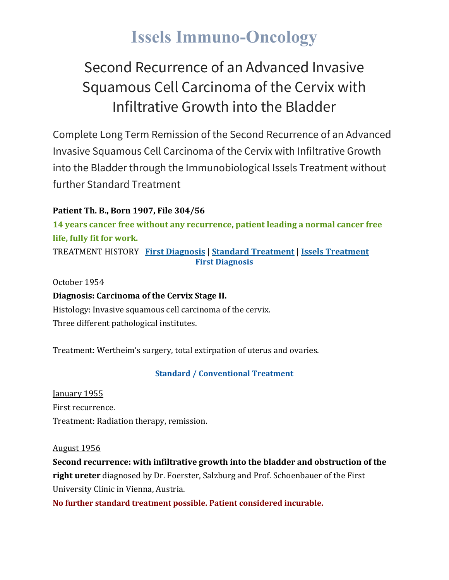# **Issels Immuno-Oncology**

## Second Recurrence of an Advanced Invasive Squamous Cell Carcinoma of the Cervix with Infiltrative Growth into the Bladder

Complete Long Term Remission of the Second Recurrence of an Advanced Invasive Squamous Cell Carcinoma of the Cervix with Infiltrative Growth into the Bladder through the Immunobiological Issels Treatment without further Standard Treatment

### **Patient Th. B., Born 1907, File 304/56**

**14 years cancer free without any recurrence, patient leading a normal cancer free life, fully fit for work.**

TREATMENT HISTORY **First [Diagnosis](https://issels.com/cancer-cases/squamous-cell-1-recurrence-of-advanced-invasive-squamous-cell-cervical-cancer-with-bladder-growth/#First)** | **Standard [Treatment](https://issels.com/cancer-cases/squamous-cell-1-recurrence-of-advanced-invasive-squamous-cell-cervical-cancer-with-bladder-growth/#Standard)** | **Issels [Treatment](https://issels.com/cancer-cases/squamous-cell-1-recurrence-of-advanced-invasive-squamous-cell-cervical-cancer-with-bladder-growth/#Issels) First Diagnosis**

October 1954

### **Diagnosis: Carcinoma of the Cervix Stage II.**

Histology: Invasive squamous cell carcinoma of the cervix. Three different pathological institutes.

Treatment: Wertheim's surgery, total extirpation of uterus and ovaries.

### **Standard / Conventional Treatment**

January 1955 First recurrence. Treatment: Radiation therapy, remission.

#### August 1956

**Second recurrence: with infiltrative growth into the bladder and obstruction of the right ureter** diagnosed by Dr. Foerster, Salzburg and Prof. Schoenbauer of the First University Clinic in Vienna, Austria.

**No further standard treatment possible. Patient considered incurable.**